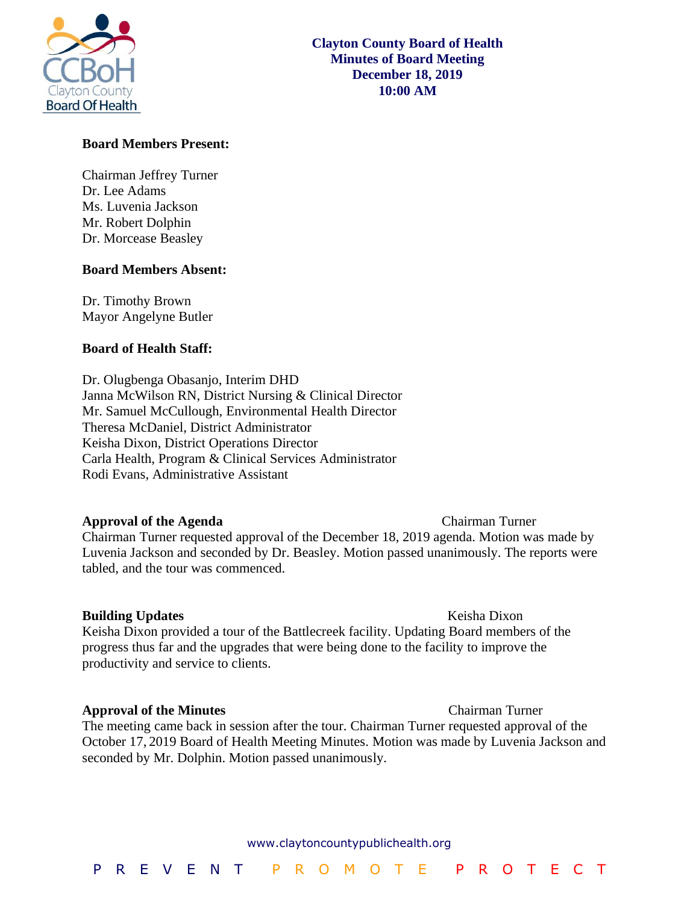

### **Board Members Present:**

Chairman Jeffrey Turner Dr. Lee Adams Ms. Luvenia Jackson Mr. Robert Dolphin Dr. Morcease Beasley

#### **Board Members Absent:**

Dr. Timothy Brown Mayor Angelyne Butler

#### **Board of Health Staff:**

Dr. Olugbenga Obasanjo, Interim DHD Janna McWilson RN, District Nursing & Clinical Director Mr. Samuel McCullough, Environmental Health Director Theresa McDaniel, District Administrator Keisha Dixon, District Operations Director Carla Health, Program & Clinical Services Administrator Rodi Evans, Administrative Assistant

#### **Approval of the Agenda Chairman Turner**

Chairman Turner requested approval of the December 18, 2019 agenda. Motion was made by Luvenia Jackson and seconded by Dr. Beasley. Motion passed unanimously. The reports were tabled, and the tour was commenced.

### **Building Updates Contract Contract Contract Contract Contract Contract Contract Contract Contract Contract Contract Contract Contract Contract Contract Contract Contract Contract Contract Contract Contract Contract Cont** Keisha Dixon provided a tour of the Battlecreek facility. Updating Board members of the progress thus far and the upgrades that were being done to the facility to improve the productivity and service to clients.

#### **Approval of the Minutes** Chairman Turner

The meeting came back in session after the tour. Chairman Turner requested approval of the October 17, 2019 Board of Health Meeting Minutes. Motion was made by Luvenia Jackson and seconded by Mr. Dolphin. Motion passed unanimously.

#### www.claytoncountypublichealth.org